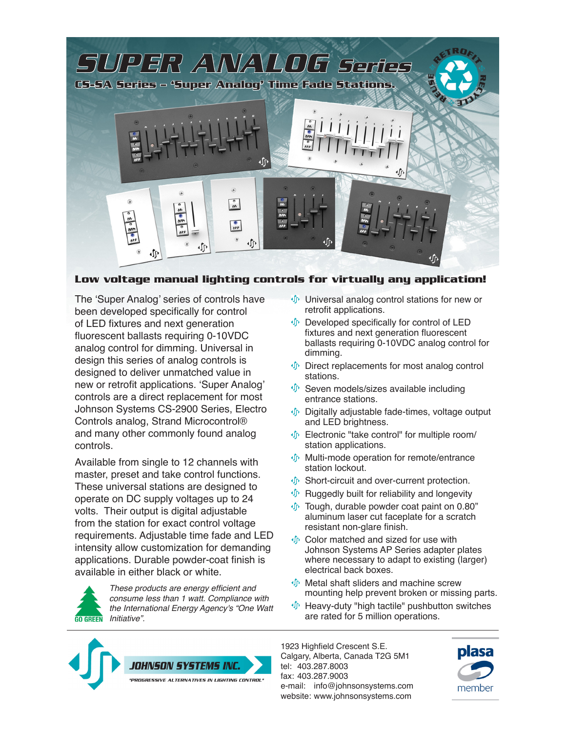

# **Low voltage manual lighting controls for virtually any application!**

The 'Super Analog' series of controls have been developed specifically for control of LED fixtures and next generation fluorescent ballasts requiring 0-10VDC analog control for dimming. Universal in design this series of analog controls is designed to deliver unmatched value in new or retrofit applications. 'Super Analog' controls are a direct replacement for most Johnson Systems CS-2900 Series, Electro Controls analog, Strand Microcontrol® and many other commonly found analog controls.

Available from single to 12 channels with master, preset and take control functions. These universal stations are designed to operate on DC supply voltages up to 24 volts. Their output is digital adjustable from the station for exact control voltage requirements. Adjustable time fade and LED intensity allow customization for demanding applications. Durable powder-coat finish is available in either black or white.



These products are energy efficient and consume less than 1 watt. Compliance with the International Energy Agency's "One Watt **GO GREEN** Initiative".

- **Universal analog control stations for new or** retrofit applications.
- $\oint$  Developed specifically for control of LED fixtures and next generation fluorescent ballasts requiring 0-10VDC analog control for dimming.
- **Direct replacements for most analog control** stations.
- $\mathcal{F}$  Seven models/sizes available including entrance stations.
- Digitally adjustable fade-times, voltage output and LED brightness.
- $\Phi$  Electronic "take control" for multiple room/ station applications.
- Multi-mode operation for remote/entrance station lockout.
- $\Phi$  Short-circuit and over-current protection.
- $\oint$  Ruggedly built for reliability and longevity
- **Tough, durable powder coat paint on 0.80**" aluminum laser cut faceplate for a scratch resistant non-glare finish.
- Color matched and sized for use with Johnson Systems AP Series adapter plates where necessary to adapt to existing (larger) electrical back boxes.
- *I* Metal shaft sliders and machine screw mounting help prevent broken or missing parts.
- Heavy-duty "high tactile" pushbutton switches are rated for 5 million operations.



1923 Highfield Crescent S.E. Calgary, Alberta, Canada T2G 5M1 tel: 403.287.8003 fax: 403.287.9003 e-mail: [info@johnsonsystems.com](mailto:info@johnsonsystems.com) website: <www.johnsonsystems.com>